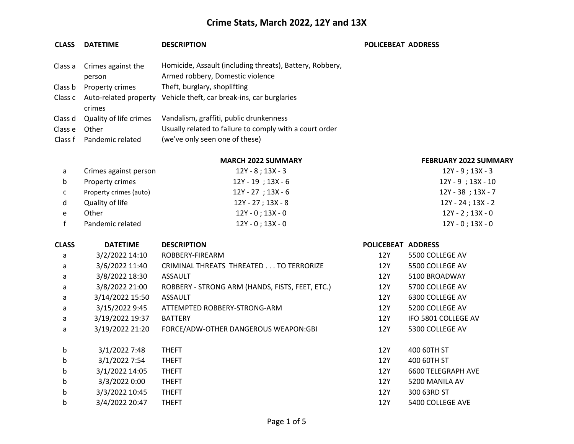#### **CLASS DATETIME DESCRIPTION POLICEBEAT ADDRESS**

|         | Class a Crimes against the    | Homicide, Assault (including threats), Battery, Robbery, |
|---------|-------------------------------|----------------------------------------------------------|
|         | person                        | Armed robbery, Domestic violence                         |
| Class b | Property crimes               | Theft, burglary, shoplifting                             |
|         | Class c Auto-related property | Vehicle theft, car break-ins, car burglaries             |
|         | crimes                        |                                                          |
| Class d | Quality of life crimes        | Vandalism, graffiti, public drunkenness                  |
| Class e | Other                         | Usually related to failure to comply with a court order  |
|         | Class f Pandemic related      | (we've only seen one of these)                           |

#### **MARCH 2022 SUMMARY FEBRUARY 2022 SUMMARY**

| a | Crimes against person  | $12Y - 8$ ; 13X - 3    | $12Y - 9$ ; 13X - 3    |
|---|------------------------|------------------------|------------------------|
| b | Property crimes        | $12Y - 19$ ; $13X - 6$ | $12Y - 9$ ; $13X - 10$ |
| C | Property crimes (auto) | 12Y - 27 ; 13X - 6     | $12Y - 38$ ; $13X - 7$ |
| d | Quality of life        | 12Y - 27 ; 13X - 8     | 12Y - 24 ; 13X - 2     |
| e | Other                  | 12Y - 0 ; 13X - 0      | $12Y - 2$ ; $13X - 0$  |
|   | Pandemic related       | $12Y - 0$ ; $13X - 0$  | $12Y - 0$ ; $13X - 0$  |

| <b>CLASS</b> | <b>DATETIME</b> | <b>DESCRIPTION</b>                              | POLICEBEAT ADDRESS |                           |
|--------------|-----------------|-------------------------------------------------|--------------------|---------------------------|
| a            | 3/2/2022 14:10  | ROBBERY-FIREARM                                 | 12Y                | 5500 COLLEGE AV           |
| a            | 3/6/2022 11:40  | CRIMINAL THREATS THREATED TO TERRORIZE          | 12Y                | 5500 COLLEGE AV           |
| a            | 3/8/2022 18:30  | ASSAULT                                         | 12Y                | 5100 BROADWAY             |
| a            | 3/8/2022 21:00  | ROBBERY - STRONG ARM (HANDS, FISTS, FEET, ETC.) | 12Y                | 5700 COLLEGE AV           |
| a            | 3/14/2022 15:50 | <b>ASSAULT</b>                                  | 12Y                | 6300 COLLEGE AV           |
| a            | 3/15/2022 9:45  | ATTEMPTED ROBBERY-STRONG-ARM                    | 12Y                | 5200 COLLEGE AV           |
| a            | 3/19/2022 19:37 | <b>BATTERY</b>                                  | 12Y                | IFO 5801 COLLEGE AV       |
| a            | 3/19/2022 21:20 | FORCE/ADW-OTHER DANGEROUS WEAPON:GBI            | 12Y                | 5300 COLLEGE AV           |
| b            | 3/1/2022 7:48   | <b>THEFT</b>                                    | 12Y                | 400 60TH ST               |
| b            | 3/1/2022 7:54   | <b>THEFT</b>                                    | 12Y                | 400 60TH ST               |
| $\mathsf{b}$ | 3/1/2022 14:05  | <b>THEFT</b>                                    | 12Y                | <b>6600 TELEGRAPH AVE</b> |
| b            | 3/3/2022 0:00   | <b>THEFT</b>                                    | 12Y                | 5200 MANILA AV            |
| b            | 3/3/2022 10:45  | <b>THEFT</b>                                    | 12Y                | 300 63RD ST               |
| b            | 3/4/2022 20:47  | <b>THEFT</b>                                    | 12Y                | 5400 COLLEGE AVE          |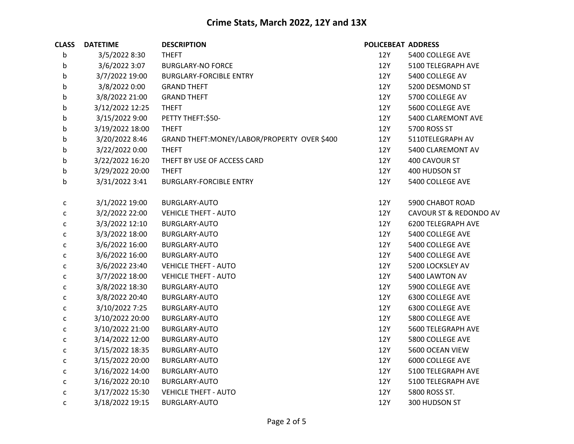| <b>CLASS</b> | <b>DATETIME</b> | <b>DESCRIPTION</b>                           | POLICEBEAT ADDRESS |                        |
|--------------|-----------------|----------------------------------------------|--------------------|------------------------|
| $\mathsf b$  | 3/5/2022 8:30   | <b>THEFT</b>                                 | 12Y                | 5400 COLLEGE AVE       |
| b            | 3/6/2022 3:07   | <b>BURGLARY-NO FORCE</b>                     | 12Y                | 5100 TELEGRAPH AVE     |
| b            | 3/7/2022 19:00  | <b>BURGLARY-FORCIBLE ENTRY</b>               | 12Y                | 5400 COLLEGE AV        |
| b            | 3/8/2022 0:00   | <b>GRAND THEFT</b>                           | 12Y                | 5200 DESMOND ST        |
| b            | 3/8/2022 21:00  | <b>GRAND THEFT</b>                           | 12Y                | 5700 COLLEGE AV        |
| b            | 3/12/2022 12:25 | <b>THEFT</b>                                 | 12Y                | 5600 COLLEGE AVE       |
| b            | 3/15/2022 9:00  | PETTY THEFT:\$50-                            | 12Y                | 5400 CLAREMONT AVE     |
| b            | 3/19/2022 18:00 | <b>THEFT</b>                                 | 12Y                | 5700 ROSS ST           |
| b            | 3/20/2022 8:46  | GRAND THEFT: MONEY/LABOR/PROPERTY OVER \$400 | 12Y                | 5110TELEGRAPH AV       |
| b            | 3/22/2022 0:00  | <b>THEFT</b>                                 | 12Y                | 5400 CLAREMONT AV      |
| b            | 3/22/2022 16:20 | THEFT BY USE OF ACCESS CARD                  | 12Y                | 400 CAVOUR ST          |
| b            | 3/29/2022 20:00 | <b>THEFT</b>                                 | 12Y                | 400 HUDSON ST          |
| b            | 3/31/2022 3:41  | <b>BURGLARY-FORCIBLE ENTRY</b>               | 12Y                | 5400 COLLEGE AVE       |
| $\mathsf{C}$ | 3/1/2022 19:00  | <b>BURGLARY-AUTO</b>                         | 12Y                | 5900 CHABOT ROAD       |
| C            | 3/2/2022 22:00  | <b>VEHICLE THEFT - AUTO</b>                  | 12Y                | CAVOUR ST & REDONDO AV |
| $\mathsf{C}$ | 3/3/2022 12:10  | <b>BURGLARY-AUTO</b>                         | 12Y                | 6200 TELEGRAPH AVE     |
| $\mathsf{C}$ | 3/3/2022 18:00  | BURGLARY-AUTO                                | 12Y                | 5400 COLLEGE AVE       |
| С            | 3/6/2022 16:00  | <b>BURGLARY-AUTO</b>                         | 12Y                | 5400 COLLEGE AVE       |
| $\mathsf{C}$ | 3/6/2022 16:00  | <b>BURGLARY-AUTO</b>                         | 12Y                | 5400 COLLEGE AVE       |
| $\mathsf{C}$ | 3/6/2022 23:40  | <b>VEHICLE THEFT - AUTO</b>                  | 12Y                | 5200 LOCKSLEY AV       |
| $\mathsf{C}$ | 3/7/2022 18:00  | <b>VEHICLE THEFT - AUTO</b>                  | 12Y                | 5400 LAWTON AV         |
| $\mathsf{C}$ | 3/8/2022 18:30  | <b>BURGLARY-AUTO</b>                         | 12Y                | 5900 COLLEGE AVE       |
| $\mathsf{C}$ | 3/8/2022 20:40  | BURGLARY-AUTO                                | 12Y                | 6300 COLLEGE AVE       |
| $\mathsf{C}$ | 3/10/2022 7:25  | BURGLARY-AUTO                                | 12Y                | 6300 COLLEGE AVE       |
| c            | 3/10/2022 20:00 | <b>BURGLARY-AUTO</b>                         | 12Y                | 5800 COLLEGE AVE       |
| $\mathsf{C}$ | 3/10/2022 21:00 | BURGLARY-AUTO                                | 12Y                | 5600 TELEGRAPH AVE     |
| с            | 3/14/2022 12:00 | BURGLARY-AUTO                                | 12Y                | 5800 COLLEGE AVE       |
| $\mathsf{C}$ | 3/15/2022 18:35 | <b>BURGLARY-AUTO</b>                         | 12Y                | 5600 OCEAN VIEW        |
| $\mathsf{C}$ | 3/15/2022 20:00 | BURGLARY-AUTO                                | 12Y                | 6000 COLLEGE AVE       |
| C            | 3/16/2022 14:00 | BURGLARY-AUTO                                | 12Y                | 5100 TELEGRAPH AVE     |
| $\mathsf{C}$ | 3/16/2022 20:10 | BURGLARY-AUTO                                | 12Y                | 5100 TELEGRAPH AVE     |
| $\mathsf{C}$ | 3/17/2022 15:30 | <b>VEHICLE THEFT - AUTO</b>                  | 12Y                | 5800 ROSS ST.          |
| C            | 3/18/2022 19:15 | <b>BURGLARY-AUTO</b>                         | 12Y                | 300 HUDSON ST          |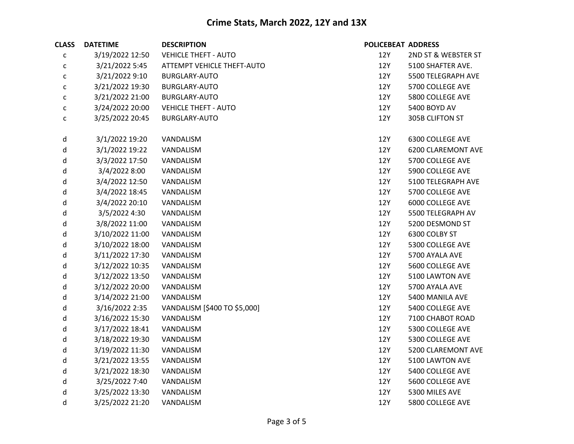| <b>CLASS</b> | <b>DATETIME</b> | <b>DESCRIPTION</b>                | <b>POLICEBEAT ADDRESS</b> |                           |
|--------------|-----------------|-----------------------------------|---------------------------|---------------------------|
| $\mathsf{C}$ | 3/19/2022 12:50 | <b>VEHICLE THEFT - AUTO</b>       | 12Y                       | 2ND ST & WEBSTER ST       |
| $\mathsf{C}$ | 3/21/2022 5:45  | <b>ATTEMPT VEHICLE THEFT-AUTO</b> | 12Y                       | 5100 SHAFTER AVE.         |
| $\mathsf{C}$ | 3/21/2022 9:10  | <b>BURGLARY-AUTO</b>              | 12Y                       | 5500 TELEGRAPH AVE        |
| $\mathsf{C}$ | 3/21/2022 19:30 | BURGLARY-AUTO                     | 12Y                       | 5700 COLLEGE AVE          |
| $\mathsf{C}$ | 3/21/2022 21:00 | <b>BURGLARY-AUTO</b>              | 12Y                       | 5800 COLLEGE AVE          |
| $\mathsf{C}$ | 3/24/2022 20:00 | <b>VEHICLE THEFT - AUTO</b>       | <b>12Y</b>                | 5400 BOYD AV              |
| $\mathsf{C}$ | 3/25/2022 20:45 | <b>BURGLARY-AUTO</b>              | 12Y                       | 305B CLIFTON ST           |
| d            | 3/1/2022 19:20  | VANDALISM                         | 12Y                       | 6300 COLLEGE AVE          |
| d            | 3/1/2022 19:22  | VANDALISM                         | 12Y                       | <b>6200 CLAREMONT AVE</b> |
| d            | 3/3/2022 17:50  | VANDALISM                         | 12Y                       | 5700 COLLEGE AVE          |
| d            | 3/4/2022 8:00   | VANDALISM                         | 12Y                       | 5900 COLLEGE AVE          |
| d            | 3/4/2022 12:50  | VANDALISM                         | 12Y                       | 5100 TELEGRAPH AVE        |
| d            | 3/4/2022 18:45  | VANDALISM                         | 12Y                       | 5700 COLLEGE AVE          |
| d            | 3/4/2022 20:10  | VANDALISM                         | 12Y                       | 6000 COLLEGE AVE          |
| d            | 3/5/2022 4:30   | VANDALISM                         | 12Y                       | 5500 TELEGRAPH AV         |
| d            | 3/8/2022 11:00  | VANDALISM                         | 12Y                       | 5200 DESMOND ST           |
| d            | 3/10/2022 11:00 | VANDALISM                         | 12Y                       | 6300 COLBY ST             |
| d            | 3/10/2022 18:00 | VANDALISM                         | <b>12Y</b>                | 5300 COLLEGE AVE          |
| d            | 3/11/2022 17:30 | VANDALISM                         | 12Y                       | 5700 AYALA AVE            |
| d            | 3/12/2022 10:35 | VANDALISM                         | 12Y                       | 5600 COLLEGE AVE          |
| d            | 3/12/2022 13:50 | VANDALISM                         | <b>12Y</b>                | 5100 LAWTON AVE           |
| d            | 3/12/2022 20:00 | VANDALISM                         | 12Y                       | 5700 AYALA AVE            |
| d            | 3/14/2022 21:00 | VANDALISM                         | 12Y                       | 5400 MANILA AVE           |
| d            | 3/16/2022 2:35  | VANDALISM [\$400 TO \$5,000]      | 12Y                       | 5400 COLLEGE AVE          |
| d            | 3/16/2022 15:30 | VANDALISM                         | 12Y                       | 7100 CHABOT ROAD          |
| d            | 3/17/2022 18:41 | VANDALISM                         | 12Y                       | 5300 COLLEGE AVE          |
| d            | 3/18/2022 19:30 | VANDALISM                         | <b>12Y</b>                | 5300 COLLEGE AVE          |
| d            | 3/19/2022 11:30 | VANDALISM                         | 12Y                       | 5200 CLAREMONT AVE        |
| d            | 3/21/2022 13:55 | VANDALISM                         | 12Y                       | 5100 LAWTON AVE           |
| d            | 3/21/2022 18:30 | VANDALISM                         | 12Y                       | 5400 COLLEGE AVE          |
| d            | 3/25/2022 7:40  | VANDALISM                         | 12Y                       | 5600 COLLEGE AVE          |
| d            | 3/25/2022 13:30 | VANDALISM                         | <b>12Y</b>                | 5300 MILES AVE            |
| d            | 3/25/2022 21:20 | VANDALISM                         | 12Y                       | 5800 COLLEGE AVE          |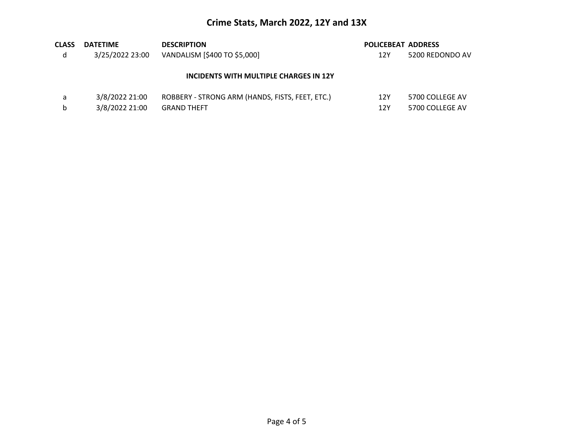| <b>CLASS</b> | <b>DATETIME</b> | <b>DESCRIPTION</b>                              | <b>POLICEBEAT ADDRESS</b> |                 |
|--------------|-----------------|-------------------------------------------------|---------------------------|-----------------|
| d            | 3/25/2022 23:00 | VANDALISM [\$400 TO \$5,000]                    | 12Y                       | 5200 REDONDO AV |
|              |                 | INCIDENTS WITH MULTIPLE CHARGES IN 12Y          |                           |                 |
| a            | 3/8/2022 21:00  | ROBBERY - STRONG ARM (HANDS, FISTS, FEET, ETC.) | 12Y                       | 5700 COLLEGE AV |
| b            | 3/8/2022 21:00  | <b>GRAND THEFT</b>                              | 12Y                       | 5700 COLLEGE AV |